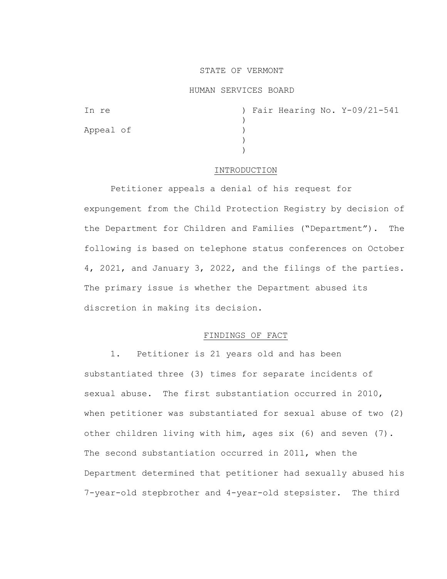# STATE OF VERMONT

## HUMAN SERVICES BOARD

| In re     |  |  | ) Fair Hearing No. Y-09/21-541 |
|-----------|--|--|--------------------------------|
|           |  |  |                                |
| Appeal of |  |  |                                |
|           |  |  |                                |
|           |  |  |                                |

#### INTRODUCTION

Petitioner appeals a denial of his request for expungement from the Child Protection Registry by decision of the Department for Children and Families ("Department"). The following is based on telephone status conferences on October 4, 2021, and January 3, 2022, and the filings of the parties. The primary issue is whether the Department abused its discretion in making its decision.

## FINDINGS OF FACT

1. Petitioner is 21 years old and has been substantiated three (3) times for separate incidents of sexual abuse. The first substantiation occurred in 2010, when petitioner was substantiated for sexual abuse of two (2) other children living with him, ages six (6) and seven (7). The second substantiation occurred in 2011, when the Department determined that petitioner had sexually abused his 7-year-old stepbrother and 4-year-old stepsister. The third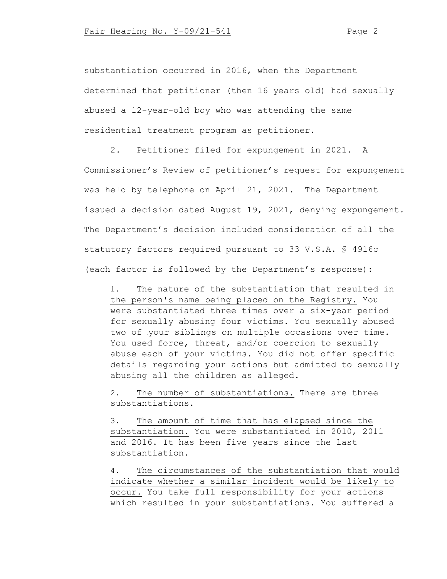substantiation occurred in 2016, when the Department determined that petitioner (then 16 years old) had sexually abused a 12-year-old boy who was attending the same residential treatment program as petitioner.

2. Petitioner filed for expungement in 2021. A Commissioner's Review of petitioner's request for expungement was held by telephone on April 21, 2021. The Department issued a decision dated August 19, 2021, denying expungement. The Department's decision included consideration of all the statutory factors required pursuant to 33 V.S.A. § 4916c (each factor is followed by the Department's response):

1. The nature of the substantiation that resulted in the person's name being placed on the Registry. You were substantiated three times over a six-year period for sexually abusing four victims. You sexually abused two of your siblings on multiple occasions over time. You used force, threat, and/or coercion to sexually abuse each of your victims. You did not offer specific details regarding your actions but admitted to sexually abusing all the children as alleged.

2. The number of substantiations. There are three substantiations.

3. The amount of time that has elapsed since the substantiation. You were substantiated in 2010, 2011 and 2016. It has been five years since the last substantiation.

4. The circumstances of the substantiation that would indicate whether a similar incident would be likely to occur. You take full responsibility for your actions which resulted in your substantiations. You suffered a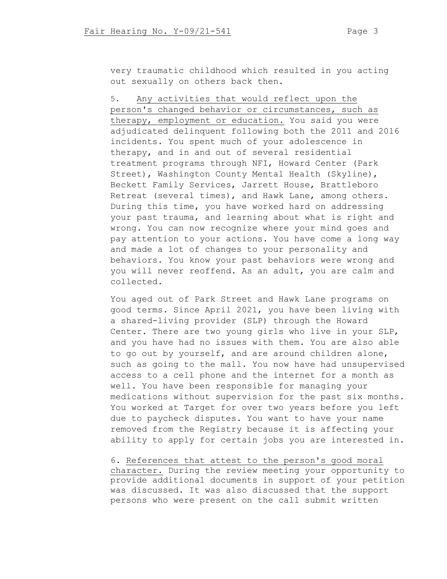very traumatic childhood which resulted in you acting out sexually on others back then.

5. Any activities that would reflect upon the person's changed behavior or circumstances, such as therapy, employment or education. You said you were adjudicated delinquent following both the 2011 and 2016 incidents. You spent much of your adolescence in therapy, and in and out of several residential treatment programs through NFI, Howard Center (Park Street), Washington County Mental Health (Skyline), Beckett Family Services, Jarrett House, Brattleboro Retreat (several times), and Hawk Lane, among others. During this time, you have worked hard on addressing your past trauma, and learning about what is right and wrong. You can now recognize where your mind goes and pay attention to your actions. You have come a long way and made a lot of changes to your personality and behaviors. You know your past behaviors were wrong and you will never reoffend. As an adult, you are calm and collected.

You aged out of Park Street and Hawk Lane programs on good terms. Since April 2021, you have been living with a shared-living provider (SLP) through the Howard Center. There are two young girls who live in your SLP, and you have had no issues with them. You are also able to go out by yourself, and are around children alone, such as going to the mall. You now have had unsupervised access to a cell phone and the internet for a month as well. You have been responsible for managing your medications without supervision for the past six months. You worked at Target for over two years before you left due to paycheck disputes. You want to have your name removed from the Registry because it is affecting your ability to apply for certain jobs you are interested in.

6. References that attest to the person's good moral character. During the review meeting your opportunity to provide additional documents in support of your petition was discussed. It was also discussed that the support persons who were present on the call submit written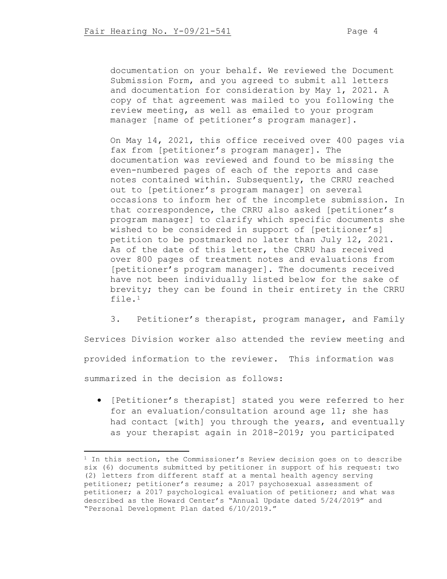documentation on your behalf. We reviewed the Document Submission Form, and you agreed to submit all letters and documentation for consideration by May 1, 2021. A copy of that agreement was mailed to you following the review meeting, as well as emailed to your program manager [name of petitioner's program manager].

On May 14, 2021, this office received over 400 pages via fax from [petitioner's program manager]. The documentation was reviewed and found to be missing the even-numbered pages of each of the reports and case notes contained within. Subsequently, the CRRU reached out to [petitioner's program manager] on several occasions to inform her of the incomplete submission. In that correspondence, the CRRU also asked [petitioner's program manager] to clarify which specific documents she wished to be considered in support of [petitioner's] petition to be postmarked no later than July 12, 2021. As of the date of this letter, the CRRU has received over 800 pages of treatment notes and evaluations from [petitioner's program manager]. The documents received have not been individually listed below for the sake of brevity; they can be found in their entirety in the CRRU file.[1](#page-3-0)

3. Petitioner's therapist, program manager, and Family Services Division worker also attended the review meeting and provided information to the reviewer. This information was summarized in the decision as follows:

• [Petitioner's therapist] stated you were referred to her for an evaluation/consultation around age 11; she has had contact [with] you through the years, and eventually as your therapist again in 2018-2019; you participated

<span id="page-3-0"></span><sup>&</sup>lt;sup>1</sup> In this section, the Commissioner's Review decision goes on to describe six (6) documents submitted by petitioner in support of his request: two (2) letters from different staff at a mental health agency serving petitioner; petitioner's resume; a 2017 psychosexual assessment of petitioner; a 2017 psychological evaluation of petitioner; and what was described as the Howard Center's "Annual Update dated 5/24/2019" and "Personal Development Plan dated 6/10/2019."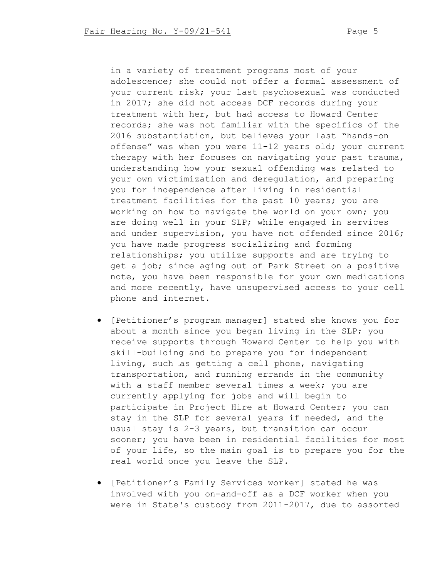in a variety of treatment programs most of your adolescence; she could not offer a formal assessment of your current risk; your last psychosexual was conducted in 2017; she did not access DCF records during your treatment with her, but had access to Howard Center records; she was not familiar with the specifics of the 2016 substantiation, but believes your last "hands-on offense" was when you were 11-12 years old; your current therapy with her focuses on navigating your past trauma, understanding how your sexual offending was related to your own victimization and deregulation, and preparing you for independence after living in residential treatment facilities for the past 10 years; you are working on how to navigate the world on your own; you are doing well in your SLP; while engaged in services and under supervision, you have not offended since 2016; you have made progress socializing and forming relationships; you utilize supports and are trying to get a job; since aging out of Park Street on a positive note, you have been responsible for your own medications and more recently, have unsupervised access to your cell phone and internet.

- [Petitioner's program manager] stated she knows you for about a month since you began living in the SLP; you receive supports through Howard Center to help you with skill-building and to prepare you for independent living, such as getting a cell phone, navigating transportation, and running errands in the community with a staff member several times a week; you are currently applying for jobs and will begin to participate in Project Hire at Howard Center; you can stay in the SLP for several years if needed, and the usual stay is 2-3 years, but transition can occur sooner; you have been in residential facilities for most of your life, so the main goal is to prepare you for the real world once you leave the SLP.
- [Petitioner's Family Services worker] stated he was involved with you on-and-off as a DCF worker when you were in State's custody from 2011-2017, due to assorted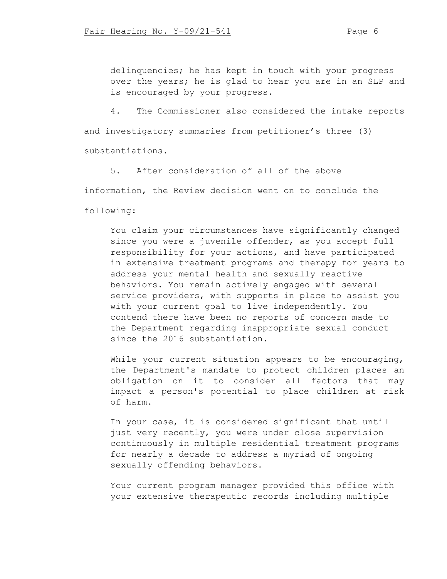delinquencies; he has kept in touch with your progress over the years; he is glad to hear you are in an SLP and is encouraged by your progress.

4. The Commissioner also considered the intake reports

and investigatory summaries from petitioner's three (3)

substantiations.

5. After consideration of all of the above information, the Review decision went on to conclude the

following:

You claim your circumstances have significantly changed since you were a juvenile offender, as you accept full responsibility for your actions, and have participated in extensive treatment programs and therapy for years to address your mental health and sexually reactive behaviors. You remain actively engaged with several service providers, with supports in place to assist you with your current goal to live independently. You contend there have been no reports of concern made to the Department regarding inappropriate sexual conduct since the 2016 substantiation.

While your current situation appears to be encouraging, the Department's mandate to protect children places an obligation on it to consider all factors that may impact a person's potential to place children at risk of harm.

In your case, it is considered significant that until just very recently, you were under close supervision continuously in multiple residential treatment programs for nearly a decade to address a myriad of ongoing sexually offending behaviors.

Your current program manager provided this office with your extensive therapeutic records including multiple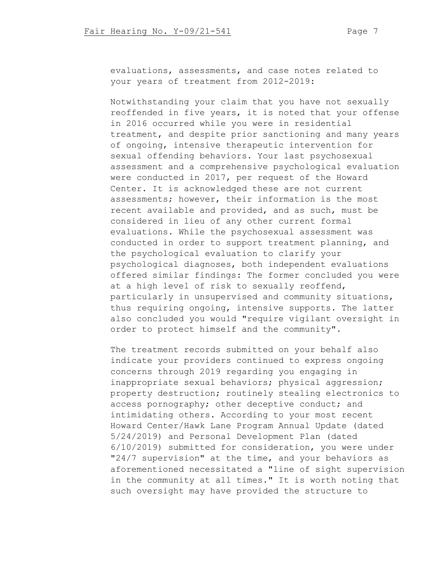evaluations, assessments, and case notes related to your years of treatment from 2012-2019:

Notwithstanding your claim that you have not sexually reoffended in five years, it is noted that your offense in 2016 occurred while you were in residential treatment, and despite prior sanctioning and many years of ongoing, intensive therapeutic intervention for sexual offending behaviors. Your last psychosexual assessment and a comprehensive psychological evaluation were conducted in 2017, per request of the Howard Center. It is acknowledged these are not current assessments; however, their information is the most recent available and provided, and as such, must be considered in lieu of any other current formal evaluations. While the psychosexual assessment was conducted in order to support treatment planning, and the psychological evaluation to clarify your psychological diagnoses, both independent evaluations offered similar findings: The former concluded you were at a high level of risk to sexually reoffend, particularly in unsupervised and community situations, thus requiring ongoing, intensive supports. The latter also concluded you would "require vigilant oversight in order to protect himself and the community".

The treatment records submitted on your behalf also indicate your providers continued to express ongoing concerns through 2019 regarding you engaging in inappropriate sexual behaviors; physical aggression; property destruction; routinely stealing electronics to access pornography; other deceptive conduct; and intimidating others. According to your most recent Howard Center/Hawk Lane Program Annual Update (dated 5/24/2019) and Personal Development Plan (dated 6/10/2019) submitted for consideration, you were under "24/7 supervision" at the time, and your behaviors as aforementioned necessitated a "line of sight supervision in the community at all times." It is worth noting that such oversight may have provided the structure to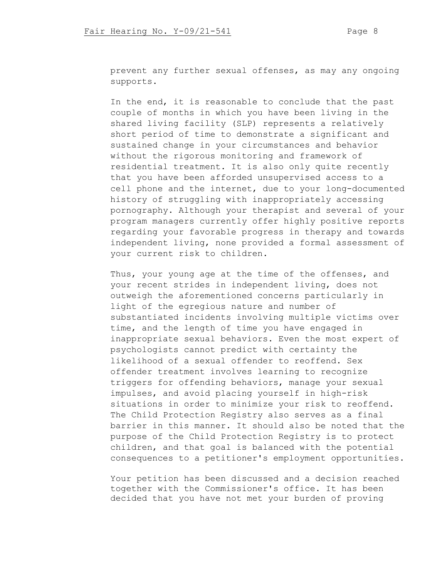prevent any further sexual offenses, as may any ongoing supports.

In the end, it is reasonable to conclude that the past couple of months in which you have been living in the shared living facility (SLP) represents a relatively short period of time to demonstrate a significant and sustained change in your circumstances and behavior without the rigorous monitoring and framework of residential treatment. It is also only quite recently that you have been afforded unsupervised access to a cell phone and the internet, due to your long-documented history of struggling with inappropriately accessing pornography. Although your therapist and several of your program managers currently offer highly positive reports regarding your favorable progress in therapy and towards independent living, none provided a formal assessment of your current risk to children.

Thus, your young age at the time of the offenses, and your recent strides in independent living, does not outweigh the aforementioned concerns particularly in light of the egregious nature and number of substantiated incidents involving multiple victims over time, and the length of time you have engaged in inappropriate sexual behaviors. Even the most expert of psychologists cannot predict with certainty the likelihood of a sexual offender to reoffend. Sex offender treatment involves learning to recognize triggers for offending behaviors, manage your sexual impulses, and avoid placing yourself in high-risk situations in order to minimize your risk to reoffend. The Child Protection Registry also serves as a final barrier in this manner. It should also be noted that the purpose of the Child Protection Registry is to protect children, and that goal is balanced with the potential consequences to a petitioner's employment opportunities.

Your petition has been discussed and a decision reached together with the Commissioner's office. It has been decided that you have not met your burden of proving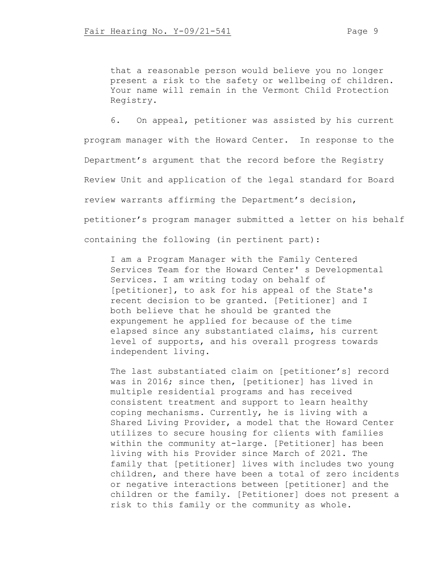that a reasonable person would believe you no longer present a risk to the safety or wellbeing of children. Your name will remain in the Vermont Child Protection Registry.

6. On appeal, petitioner was assisted by his current program manager with the Howard Center. In response to the Department's argument that the record before the Registry Review Unit and application of the legal standard for Board review warrants affirming the Department's decision, petitioner's program manager submitted a letter on his behalf containing the following (in pertinent part):

I am a Program Manager with the Family Centered Services Team for the Howard Center' s Developmental Services. I am writing today on behalf of [petitioner], to ask for his appeal of the State's recent decision to be granted. [Petitioner] and I both believe that he should be granted the expungement he applied for because of the time elapsed since any substantiated claims, his current level of supports, and his overall progress towards independent living.

The last substantiated claim on [petitioner's] record was in 2016; since then, [petitioner] has lived in multiple residential programs and has received consistent treatment and support to learn healthy coping mechanisms. Currently, he is living with a Shared Living Provider, a model that the Howard Center utilizes to secure housing for clients with families within the community at-large. [Petitioner] has been living with his Provider since March of 2021. The family that [petitioner] lives with includes two young children, and there have been a total of zero incidents or negative interactions between [petitioner] and the children or the family. [Petitioner] does not present a risk to this family or the community as whole.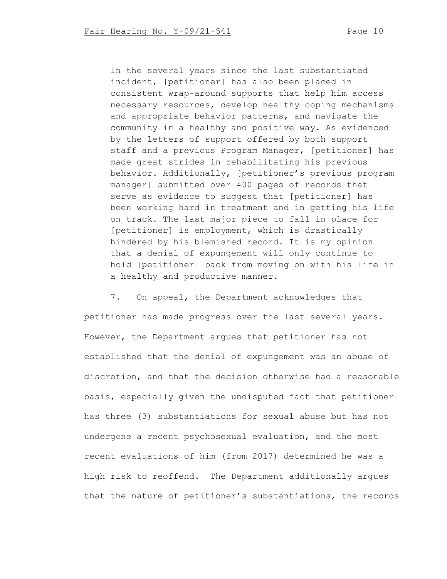In the several years since the last substantiated incident, [petitioner] has also been placed in consistent wrap-around supports that help him access necessary resources, develop healthy coping mechanisms and appropriate behavior patterns, and navigate the community in a healthy and positive way. As evidenced by the letters of support offered by both support staff and a previous Program Manager, [petitioner] has made great strides in rehabilitating his previous behavior. Additionally, [petitioner's previous program manager] submitted over 400 pages of records that serve as evidence to suggest that [petitioner] has been working hard in treatment and in getting his life on track. The last major piece to fall in place for [petitioner] is employment, which is drastically hindered by his blemished record. It is my opinion that a denial of expungement will only continue to hold [petitioner] back from moving on with his life in a healthy and productive manner.

7. On appeal, the Department acknowledges that petitioner has made progress over the last several years. However, the Department argues that petitioner has not established that the denial of expungement was an abuse of discretion, and that the decision otherwise had a reasonable basis, especially given the undisputed fact that petitioner has three (3) substantiations for sexual abuse but has not undergone a recent psychosexual evaluation, and the most recent evaluations of him (from 2017) determined he was a high risk to reoffend. The Department additionally argues that the nature of petitioner's substantiations, the records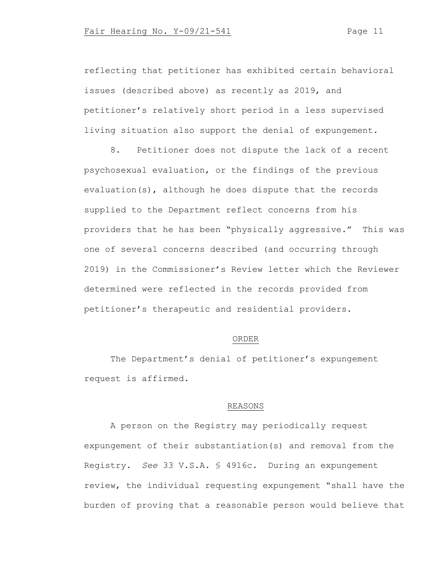reflecting that petitioner has exhibited certain behavioral issues (described above) as recently as 2019, and petitioner's relatively short period in a less supervised living situation also support the denial of expungement.

8. Petitioner does not dispute the lack of a recent psychosexual evaluation, or the findings of the previous evaluation(s), although he does dispute that the records supplied to the Department reflect concerns from his providers that he has been "physically aggressive." This was one of several concerns described (and occurring through 2019) in the Commissioner's Review letter which the Reviewer determined were reflected in the records provided from petitioner's therapeutic and residential providers.

#### ORDER

The Department's denial of petitioner's expungement request is affirmed.

# REASONS

A person on the Registry may periodically request expungement of their substantiation(s) and removal from the Registry. *See* 33 V.S.A. § 4916c. During an expungement review, the individual requesting expungement "shall have the burden of proving that a reasonable person would believe that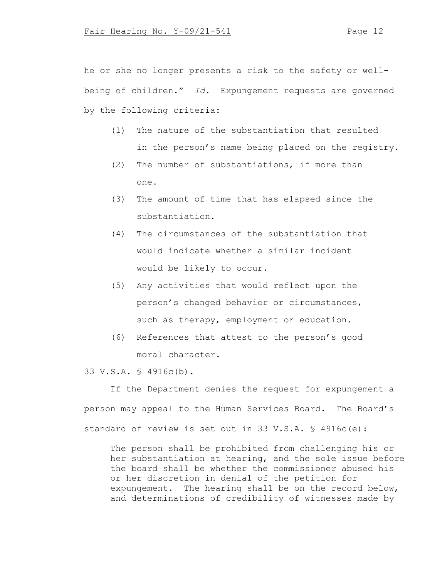he or she no longer presents a risk to the safety or wellbeing of children." *Id.* Expungement requests are governed by the following criteria:

- (1) The nature of the substantiation that resulted in the person's name being placed on the registry.
- (2) The number of substantiations, if more than one.
- (3) The amount of time that has elapsed since the substantiation.
- (4) The circumstances of the substantiation that would indicate whether a similar incident would be likely to occur.
- (5) Any activities that would reflect upon the person's changed behavior or circumstances, such as therapy, employment or education.
- (6) References that attest to the person's good moral character.

33 V.S.A. § 4916c(b).

If the Department denies the request for expungement a person may appeal to the Human Services Board. The Board's standard of review is set out in 33 V.S.A. § 4916c(e):

The person shall be prohibited from challenging his or her substantiation at hearing, and the sole issue before the board shall be whether the commissioner abused his or her discretion in denial of the petition for expungement. The hearing shall be on the record below, and determinations of credibility of witnesses made by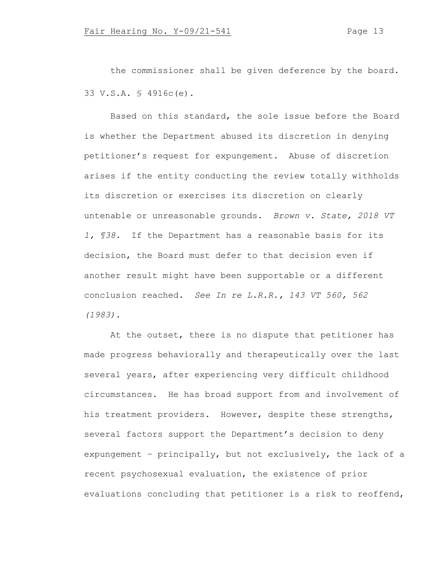the commissioner shall be given deference by the board. 33 V.S.A. § 4916c(e).

Based on this standard, the sole issue before the Board is whether the Department abused its discretion in denying petitioner's request for expungement. Abuse of discretion arises if the entity conducting the review totally withholds its discretion or exercises its discretion on clearly untenable or unreasonable grounds. *Brown v. State, 2018 VT 1, ¶38.* If the Department has a reasonable basis for its decision, the Board must defer to that decision even if another result might have been supportable or a different conclusion reached. *See In re L.R.R., 143 VT 560, 562 (1983).*

At the outset, there is no dispute that petitioner has made progress behaviorally and therapeutically over the last several years, after experiencing very difficult childhood circumstances. He has broad support from and involvement of his treatment providers. However, despite these strengths, several factors support the Department's decision to deny expungement – principally, but not exclusively, the lack of a recent psychosexual evaluation, the existence of prior evaluations concluding that petitioner is a risk to reoffend,